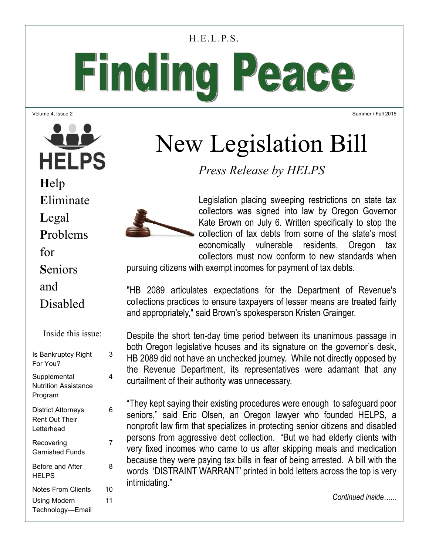#### H.E.L.P.S.

Finding Peace

Volume 4, Issue 2

Summer / Fall 2015

#### **HELPS H**elp **E**liminate **L**egal **P**roblems for **S**eniors and Disabled Inside this issue: Is Bankruptcy Right 3 For You? **Supplemental** 4 Nutrition Assistance Program District Attorneys 6 Rent Out Their Letterhead **Recovering** 7

Garnished Funds

Before and After

Using Modern Technology—Email

Notes From Clients 10

8

11

HELPS

# New Legislation Bill

*Press Release by HELPS* 



Legislation placing sweeping restrictions on state tax collectors was signed into law by Oregon Governor Kate Brown on July 6. Written specifically to stop the collection of tax debts from some of the state's most economically vulnerable residents. Oregon tax collectors must now conform to new standards when

pursuing citizens with exempt incomes for payment of tax debts.

"HB 2089 articulates expectations for the Department of Revenue's collections practices to ensure taxpayers of lesser means are treated fairly and appropriately," said Brown's spokesperson Kristen Grainger.

Despite the short ten-day time period between its unanimous passage in both Oregon legislative houses and its signature on the governor's desk, HB 2089 did not have an unchecked journey. While not directly opposed by the Revenue Department, its representatives were adamant that any curtailment of their authority was unnecessary.

"They kept saying their existing procedures were enough to safeguard poor seniors," said Eric Olsen, an Oregon lawyer who founded HELPS, a nonprofit law firm that specializes in protecting senior citizens and disabled persons from aggressive debt collection. "But we had elderly clients with very fixed incomes who came to us after skipping meals and medication because they were paying tax bills in fear of being arrested. A bill with the words 'DISTRAINT WARRANT' printed in bold letters across the top is very intimidating."

*Continued inside…...*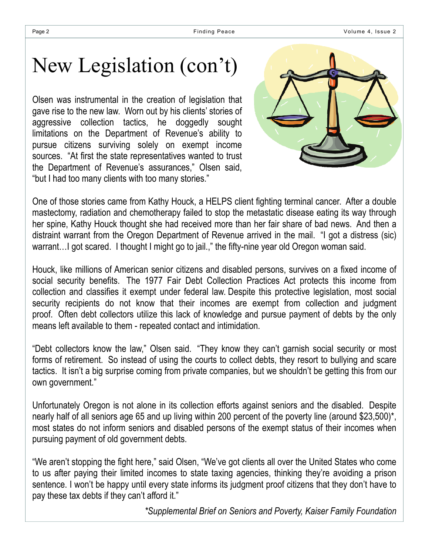## New Legislation (con't)

Olsen was instrumental in the creation of legislation that gave rise to the new law. Worn out by his clients' stories of aggressive collection tactics, he doggedly sought limitations on the Department of Revenue's ability to pursue citizens surviving solely on exempt income sources. "At first the state representatives wanted to trust the Department of Revenue's assurances," Olsen said, "but I had too many clients with too many stories."



One of those stories came from Kathy Houck, a HELPS client fighting terminal cancer. After a double mastectomy, radiation and chemotherapy failed to stop the metastatic disease eating its way through her spine, Kathy Houck thought she had received more than her fair share of bad news. And then a distraint warrant from the Oregon Department of Revenue arrived in the mail. "I got a distress (sic) warrant…I got scared. I thought I might go to jail.," the fifty-nine year old Oregon woman said.

Houck, like millions of American senior citizens and disabled persons, survives on a fixed income of social security benefits. The 1977 Fair Debt Collection Practices Act protects this income from collection and classifies it exempt under federal law. Despite this protective legislation, most social security recipients do not know that their incomes are exempt from collection and judgment proof. Often debt collectors utilize this lack of knowledge and pursue payment of debts by the only means left available to them - repeated contact and intimidation.

"Debt collectors know the law," Olsen said. "They know they can't garnish social security or most forms of retirement. So instead of using the courts to collect debts, they resort to bullying and scare tactics. It isn't a big surprise coming from private companies, but we shouldn't be getting this from our own government."

Unfortunately Oregon is not alone in its collection efforts against seniors and the disabled. Despite nearly half of all seniors age 65 and up living within 200 percent of the poverty line (around \$23,500)\*, most states do not inform seniors and disabled persons of the exempt status of their incomes when pursuing payment of old government debts.

"We aren't stopping the fight here," said Olsen, "We've got clients all over the United States who come to us after paying their limited incomes to state taxing agencies, thinking they're avoiding a prison sentence. I won't be happy until every state informs its judgment proof citizens that they don't have to pay these tax debts if they can't afford it."

*\*Supplemental Brief on Seniors and Poverty, Kaiser Family Foundation*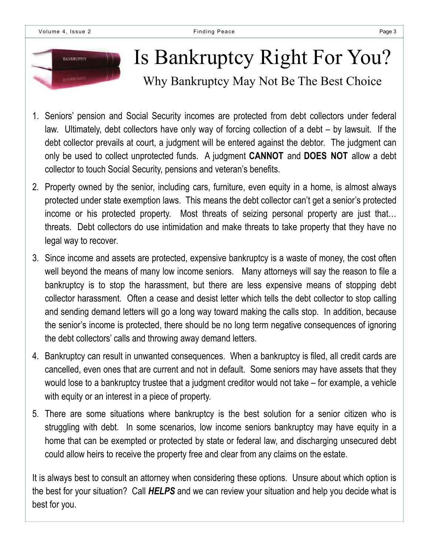

# Is Bankruptcy Right For You?

Why Bankruptcy May Not Be The Best Choice

- 1. Seniors' pension and Social Security incomes are protected from debt collectors under federal law. Ultimately, debt collectors have only way of forcing collection of a debt – by lawsuit. If the debt collector prevails at court, a judgment will be entered against the debtor. The judgment can only be used to collect unprotected funds. A judgment **CANNOT** and **DOES NOT** allow a debt collector to touch Social Security, pensions and veteran's benefits.
- 2. Property owned by the senior, including cars, furniture, even equity in a home, is almost always protected under state exemption laws. This means the debt collector can't get a senior's protected income or his protected property. Most threats of seizing personal property are just that… threats. Debt collectors do use intimidation and make threats to take property that they have no legal way to recover.
- 3. Since income and assets are protected, expensive bankruptcy is a waste of money, the cost often well beyond the means of many low income seniors. Many attorneys will say the reason to file a bankruptcy is to stop the harassment, but there are less expensive means of stopping debt collector harassment. Often a cease and desist letter which tells the debt collector to stop calling and sending demand letters will go a long way toward making the calls stop. In addition, because the senior's income is protected, there should be no long term negative consequences of ignoring the debt collectors' calls and throwing away demand letters.
- 4. Bankruptcy can result in unwanted consequences. When a bankruptcy is filed, all credit cards are cancelled, even ones that are current and not in default. Some seniors may have assets that they would lose to a bankruptcy trustee that a judgment creditor would not take – for example, a vehicle with equity or an interest in a piece of property.
- 5. There are some situations where bankruptcy is the best solution for a senior citizen who is struggling with debt. In some scenarios, low income seniors bankruptcy may have equity in a home that can be exempted or protected by state or federal law, and discharging unsecured debt could allow heirs to receive the property free and clear from any claims on the estate.

It is always best to consult an attorney when considering these options. Unsure about which option is the best for your situation? Call *HELPS* and we can review your situation and help you decide what is best for you.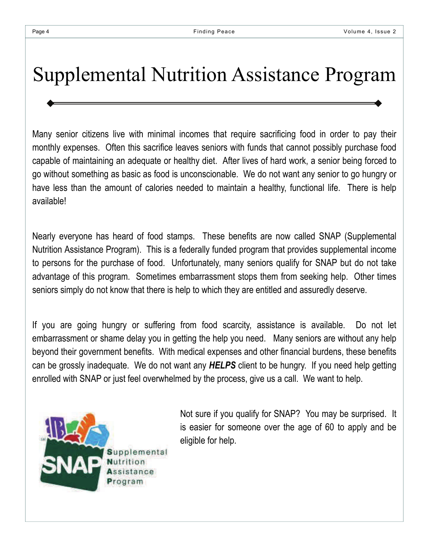### Supplemental Nutrition Assistance Program

Many senior citizens live with minimal incomes that require sacrificing food in order to pay their monthly expenses. Often this sacrifice leaves seniors with funds that cannot possibly purchase food capable of maintaining an adequate or healthy diet. After lives of hard work, a senior being forced to go without something as basic as food is unconscionable. We do not want any senior to go hungry or have less than the amount of calories needed to maintain a healthy, functional life. There is help available!

Nearly everyone has heard of food stamps. These benefits are now called SNAP (Supplemental Nutrition Assistance Program). This is a federally funded program that provides supplemental income to persons for the purchase of food. Unfortunately, many seniors qualify for SNAP but do not take advantage of this program. Sometimes embarrassment stops them from seeking help. Other times seniors simply do not know that there is help to which they are entitled and assuredly deserve.

If you are going hungry or suffering from food scarcity, assistance is available. Do not let embarrassment or shame delay you in getting the help you need. Many seniors are without any help beyond their government benefits. With medical expenses and other financial burdens, these benefits can be grossly inadequate. We do not want any *HELPS* client to be hungry. If you need help getting enrolled with SNAP or just feel overwhelmed by the process, give us a call. We want to help.



Not sure if you qualify for SNAP? You may be surprised. It is easier for someone over the age of 60 to apply and be eligible for help.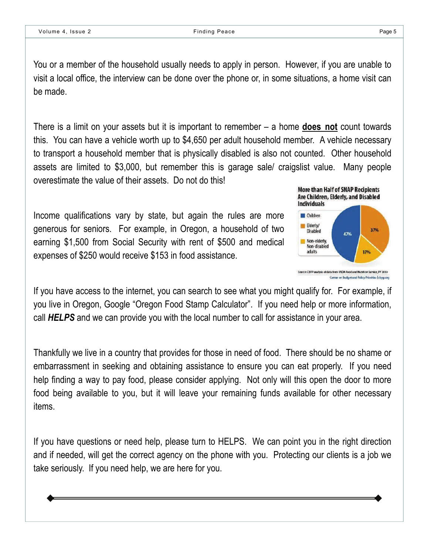You or a member of the household usually needs to apply in person. However, if you are unable to visit a local office, the interview can be done over the phone or, in some situations, a home visit can be made.

There is a limit on your assets but it is important to remember – a home **does not** count towards this. You can have a vehicle worth up to \$4,650 per adult household member. A vehicle necessary to transport a household member that is physically disabled is also not counted. Other household assets are limited to \$3,000, but remember this is garage sale/ craigslist value. Many people overestimate the value of their assets. Do not do this!

Income qualifications vary by state, but again the rules are more generous for seniors. For example, in Oregon, a household of two earning \$1,500 from Social Security with rent of \$500 and medical expenses of \$250 would receive \$153 in food assistance.



If you have access to the internet, you can search to see what you might qualify for. For example, if you live in Oregon, Google "Oregon Food Stamp Calculator". If you need help or more information, call *HELPS* and we can provide you with the local number to call for assistance in your area.

Thankfully we live in a country that provides for those in need of food. There should be no shame or embarrassment in seeking and obtaining assistance to ensure you can eat properly. If you need help finding a way to pay food, please consider applying. Not only will this open the door to more food being available to you, but it will leave your remaining funds available for other necessary items.

If you have questions or need help, please turn to HELPS. We can point you in the right direction and if needed, will get the correct agency on the phone with you. Protecting our clients is a job we take seriously. If you need help, we are here for you.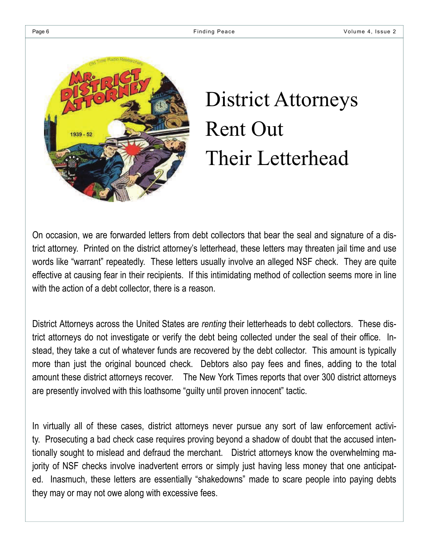

# District Attorneys Rent Out Their Letterhead

On occasion, we are forwarded letters from debt collectors that bear the seal and signature of a district attorney. Printed on the district attorney's letterhead, these letters may threaten jail time and use words like "warrant" repeatedly. These letters usually involve an alleged NSF check. They are quite effective at causing fear in their recipients. If this intimidating method of collection seems more in line with the action of a debt collector, there is a reason.

District Attorneys across the United States are *renting* their letterheads to debt collectors. These district attorneys do not investigate or verify the debt being collected under the seal of their office. Instead, they take a cut of whatever funds are recovered by the debt collector. This amount is typically more than just the original bounced check. Debtors also pay fees and fines, adding to the total amount these district attorneys recover. The New York Times reports that over 300 district attorneys are presently involved with this loathsome "guilty until proven innocent" tactic.

In virtually all of these cases, district attorneys never pursue any sort of law enforcement activity. Prosecuting a bad check case requires proving beyond a shadow of doubt that the accused intentionally sought to mislead and defraud the merchant. District attorneys know the overwhelming majority of NSF checks involve inadvertent errors or simply just having less money that one anticipated. Inasmuch, these letters are essentially "shakedowns" made to scare people into paying debts they may or may not owe along with excessive fees.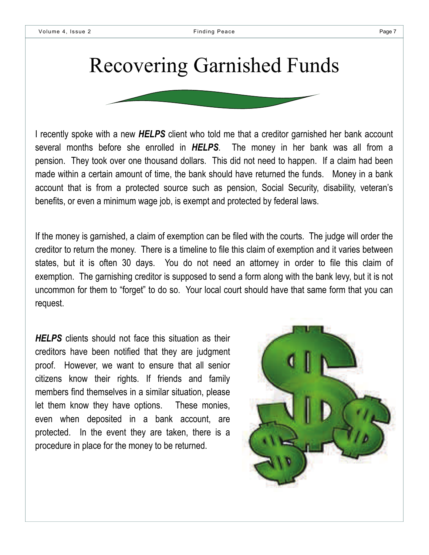## Recovering Garnished Funds

I recently spoke with a new *HELPS* client who told me that a creditor garnished her bank account several months before she enrolled in *HELPS*. The money in her bank was all from a pension. They took over one thousand dollars. This did not need to happen. If a claim had been made within a certain amount of time, the bank should have returned the funds. Money in a bank account that is from a protected source such as pension, Social Security, disability, veteran's benefits, or even a minimum wage job, is exempt and protected by federal laws.

If the money is garnished, a claim of exemption can be filed with the courts. The judge will order the creditor to return the money. There is a timeline to file this claim of exemption and it varies between states, but it is often 30 days. You do not need an attorney in order to file this claim of exemption. The garnishing creditor is supposed to send a form along with the bank levy, but it is not uncommon for them to "forget" to do so. Your local court should have that same form that you can request.

**HELPS** clients should not face this situation as their creditors have been notified that they are judgment proof. However, we want to ensure that all senior citizens know their rights. If friends and family members find themselves in a similar situation, please let them know they have options. These monies, even when deposited in a bank account, are protected. In the event they are taken, there is a procedure in place for the money to be returned.

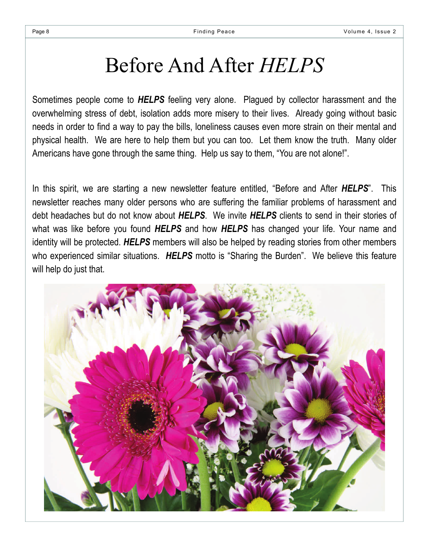## Before And After *HELPS*

Sometimes people come to *HELPS* feeling very alone. Plagued by collector harassment and the overwhelming stress of debt, isolation adds more misery to their lives. Already going without basic needs in order to find a way to pay the bills, loneliness causes even more strain on their mental and physical health. We are here to help them but you can too. Let them know the truth. Many older Americans have gone through the same thing. Help us say to them, "You are not alone!".

In this spirit, we are starting a new newsletter feature entitled, "Before and After *HELPS*". This newsletter reaches many older persons who are suffering the familiar problems of harassment and debt headaches but do not know about *HELPS*. We invite *HELPS* clients to send in their stories of what was like before you found *HELPS* and how *HELPS* has changed your life. Your name and identity will be protected. *HELPS* members will also be helped by reading stories from other members who experienced similar situations. *HELPS* motto is "Sharing the Burden". We believe this feature will help do just that.

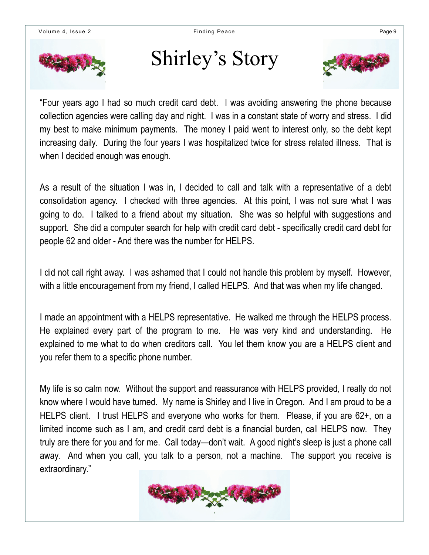

## Shirley's Story



"Four years ago I had so much credit card debt. I was avoiding answering the phone because collection agencies were calling day and night. I was in a constant state of worry and stress. I did my best to make minimum payments. The money I paid went to interest only, so the debt kept increasing daily. During the four years I was hospitalized twice for stress related illness. That is when I decided enough was enough.

As a result of the situation I was in, I decided to call and talk with a representative of a debt consolidation agency. I checked with three agencies. At this point, I was not sure what I was going to do. I talked to a friend about my situation. She was so helpful with suggestions and support. She did a computer search for help with credit card debt - specifically credit card debt for people 62 and older - And there was the number for HELPS.

I did not call right away. I was ashamed that I could not handle this problem by myself. However, with a little encouragement from my friend, I called HELPS. And that was when my life changed.

I made an appointment with a HELPS representative. He walked me through the HELPS process. He explained every part of the program to me. He was very kind and understanding. He explained to me what to do when creditors call. You let them know you are a HELPS client and you refer them to a specific phone number.

My life is so calm now. Without the support and reassurance with HELPS provided, I really do not know where I would have turned. My name is Shirley and I live in Oregon. And I am proud to be a HELPS client. I trust HELPS and everyone who works for them. Please, if you are 62+, on a limited income such as I am, and credit card debt is a financial burden, call HELPS now. They truly are there for you and for me. Call today—don't wait. A good night's sleep is just a phone call away. And when you call, you talk to a person, not a machine. The support you receive is extraordinary."

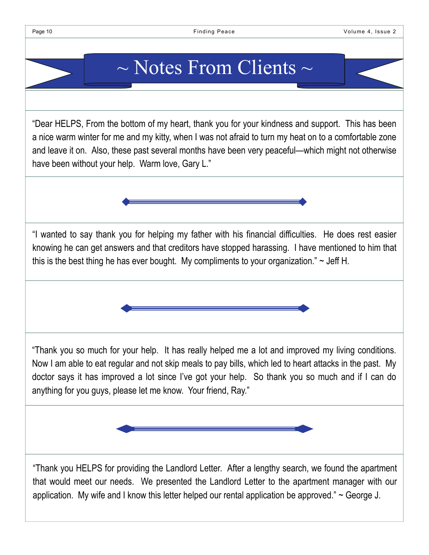#### $\sim$  Notes From Clients  $\sim$

"Dear HELPS, From the bottom of my heart, thank you for your kindness and support. This has been a nice warm winter for me and my kitty, when I was not afraid to turn my heat on to a comfortable zone and leave it on. Also, these past several months have been very peaceful—which might not otherwise have been without your help. Warm love, Gary L."

"I wanted to say thank you for helping my father with his financial difficulties. He does rest easier knowing he can get answers and that creditors have stopped harassing. I have mentioned to him that this is the best thing he has ever bought. My compliments to your organization."  $\sim$  Jeff H.

"Thank you so much for your help. It has really helped me a lot and improved my living conditions. Now I am able to eat regular and not skip meals to pay bills, which led to heart attacks in the past. My doctor says it has improved a lot since I've got your help. So thank you so much and if I can do anything for you guys, please let me know. Your friend, Ray."



"Thank you HELPS for providing the Landlord Letter. After a lengthy search, we found the apartment that would meet our needs. We presented the Landlord Letter to the apartment manager with our application. My wife and I know this letter helped our rental application be approved."  $\sim$  George J.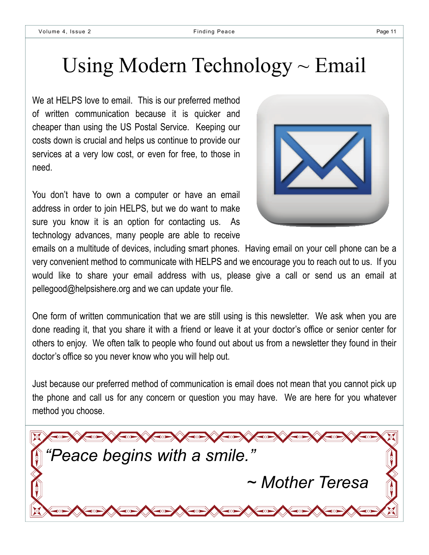## Using Modern Technology  $\sim$  Email

We at HELPS love to email. This is our preferred method of written communication because it is quicker and cheaper than using the US Postal Service. Keeping our costs down is crucial and helps us continue to provide our services at a very low cost, or even for free, to those in need.

You don't have to own a computer or have an email address in order to join HELPS, but we do want to make sure you know it is an option for contacting us. As technology advances, many people are able to receive



emails on a multitude of devices, including smart phones. Having email on your cell phone can be a very convenient method to communicate with HELPS and we encourage you to reach out to us. If you would like to share your email address with us, please give a call or send us an email at pellegood@helpsishere.org and we can update your file.

One form of written communication that we are still using is this newsletter. We ask when you are done reading it, that you share it with a friend or leave it at your doctor's office or senior center for others to enjoy. We often talk to people who found out about us from a newsletter they found in their doctor's office so you never know who you will help out.

Just because our preferred method of communication is email does not mean that you cannot pick up the phone and call us for any concern or question you may have. We are here for you whatever method you choose.